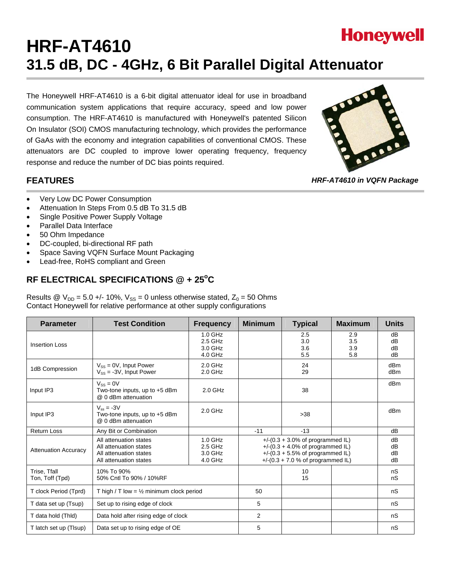# **Honeywell HRF-AT4610 31.5 dB, DC - 4GHz, 6 Bit Parallel Digital Attenuator**

The Honeywell HRF-AT4610 is a 6-bit digital attenuator ideal for use in broadband communication system applications that require accuracy, speed and low power consumption. The HRF-AT4610 is manufactured with Honeywell's patented Silicon On Insulator (SOI) CMOS manufacturing technology, which provides the performance of GaAs with the economy and integration capabilities of conventional CMOS. These attenuators are DC coupled to improve lower operating frequency, frequency response and reduce the number of DC bias points required.



*HRF-AT4610 in VQFN Package* 

### **FEATURES**

- Very Low DC Power Consumption
- Attenuation In Steps From 0.5 dB To 31.5 dB
- Single Positive Power Supply Voltage
- Parallel Data Interface
- 50 Ohm Impedance
- DC-coupled, bi-directional RF path
- Space Saving VQFN Surface Mount Packaging
- Lead-free, RoHS compliant and Green

### RF ELECTRICAL SPECIFICATIONS @ + 25°C

Results @  $V_{DD} = 5.0 +/- 10\%$ ,  $V_{SS} = 0$  unless otherwise stated,  $Z_0 = 50$  Ohms Contact Honeywell for relative performance at other supply configurations

| <b>Parameter</b>                | <b>Test Condition</b>                                                                                                                            | <b>Frequency</b>                           | <b>Minimum</b> | <b>Typical</b>                                                                                                                                             | <b>Maximum</b>           | <b>Units</b>           |
|---------------------------------|--------------------------------------------------------------------------------------------------------------------------------------------------|--------------------------------------------|----------------|------------------------------------------------------------------------------------------------------------------------------------------------------------|--------------------------|------------------------|
| <b>Insertion Loss</b>           |                                                                                                                                                  | $1.0$ GHz<br>2.5 GHz<br>3.0 GHz<br>4.0 GHz |                | 2.5<br>3.0<br>3.6<br>5.5                                                                                                                                   | 2.9<br>3.5<br>3.9<br>5.8 | dB<br>dB<br>dB<br>dB   |
| 1dB Compression                 | $V_{SS} = 0V$ , Input Power<br>$V_{SS}$ = -3V, Input Power                                                                                       | $2.0$ GHz<br>$2.0$ GHz                     |                | 24<br>29                                                                                                                                                   |                          | dBm<br>dB <sub>m</sub> |
| Input IP3                       | $V_{SS} = 0V$<br>Two-tone inputs, up to +5 dBm<br>@ 0 dBm attenuation                                                                            | $2.0$ GHz                                  |                | 38                                                                                                                                                         |                          | d <sub>Bm</sub>        |
| Input IP3                       | $V_{ss} = -3V$<br>Two-tone inputs, up to +5 dBm<br>@ 0 dBm attenuation                                                                           | $2.0$ GHz                                  |                | >38                                                                                                                                                        |                          | dBm                    |
| <b>Return Loss</b>              | Any Bit or Combination                                                                                                                           |                                            | $-11$          | $-13$                                                                                                                                                      |                          | dB                     |
| <b>Attenuation Accuracy</b>     | All attenuation states<br>1.0 GHz<br>2.5 GHz<br>All attenuation states<br>All attenuation states<br>3.0 GHz<br>4.0 GHz<br>All attenuation states |                                            |                | $+$ /-(0.3 + 3.0% of programmed IL)<br>+/- $(0.3 + 4.0\%$ of programmed IL)<br>$+$ /-(0.3 + 5.5% of programmed IL)<br>+/- $(0.3 + 7.0 %$ of programmed IL) |                          | dB<br>dB<br>dB<br>dB   |
| Trise, Tfall<br>Ton, Toff (Tpd) | 10% To 90%<br>50% Cntl To 90% / 10%RF                                                                                                            |                                            |                | 10<br>15                                                                                                                                                   |                          | nS<br>nS               |
| T clock Period (Tprd)           | T high / T low = $\frac{1}{2}$ minimum clock period                                                                                              |                                            | 50             |                                                                                                                                                            |                          | nS                     |
| T data set up (Tsup)            | Set up to rising edge of clock                                                                                                                   |                                            | 5              |                                                                                                                                                            |                          | nS                     |
| T data hold (Thid)              | Data hold after rising edge of clock                                                                                                             |                                            | $\overline{2}$ |                                                                                                                                                            |                          | nS                     |
| T latch set up (TIsup)          | Data set up to rising edge of OE                                                                                                                 |                                            | 5              |                                                                                                                                                            |                          | nS                     |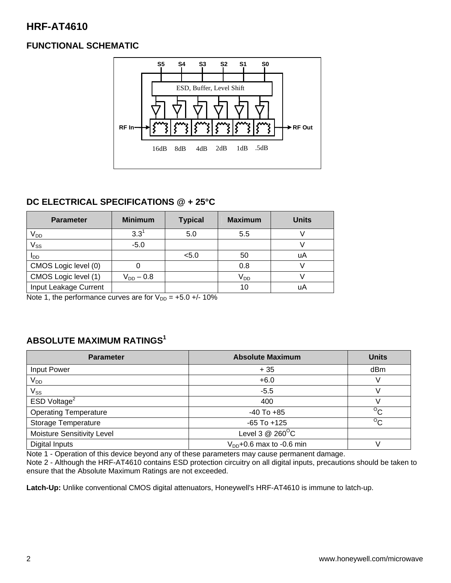# **HRF-AT4610**

### **FUNCTIONAL SCHEMATIC**



### **DC ELECTRICAL SPECIFICATIONS @ + 25°C**

| <b>Parameter</b>      | <b>Minimum</b> | <b>Typical</b> | <b>Maximum</b> | <b>Units</b> |
|-----------------------|----------------|----------------|----------------|--------------|
| V <sub>DD</sub>       | $3.3^{1}$      | 5.0            | 5.5            |              |
| $V_{SS}$              | $-5.0$         |                |                |              |
| I <sub>DD</sub>       |                | < 5.0          | 50             | uA           |
| CMOS Logic level (0)  |                |                | 0.8            |              |
| CMOS Logic level (1)  | $V_{DD} - 0.8$ |                | $V_{DD}$       |              |
| Input Leakage Current |                |                | 10             | uA           |

Note 1, the performance curves are for  $V_{DD} = +5.0 +/- 10\%$ 

### **ABSOLUTE MAXIMUM RATINGS1**

| <b>Parameter</b>             | <b>Absolute Maximum</b>       | <b>Units</b>   |
|------------------------------|-------------------------------|----------------|
| Input Power                  | $+35$                         | dBm            |
| V <sub>DD</sub>              | $+6.0$                        |                |
| $V_{SS}$                     | $-5.5$                        |                |
| ESD Voltage <sup>2</sup>     | 400                           |                |
| <b>Operating Temperature</b> | $-40$ To $+85$                | $\overline{C}$ |
| <b>Storage Temperature</b>   | $-65$ To $+125$               | $\overline{C}$ |
| Moisture Sensitivity Level   | Level 3 $@$ 260 $^{\circ}$ C  |                |
| <b>Digital Inputs</b>        | $V_{DD}$ +0.6 max to -0.6 min |                |

Note 1 - Operation of this device beyond any of these parameters may cause permanent damage.

Note 2 - Although the HRF-AT4610 contains ESD protection circuitry on all digital inputs, precautions should be taken to ensure that the Absolute Maximum Ratings are not exceeded.

**Latch-Up:** Unlike conventional CMOS digital attenuators, Honeywell's HRF-AT4610 is immune to latch-up.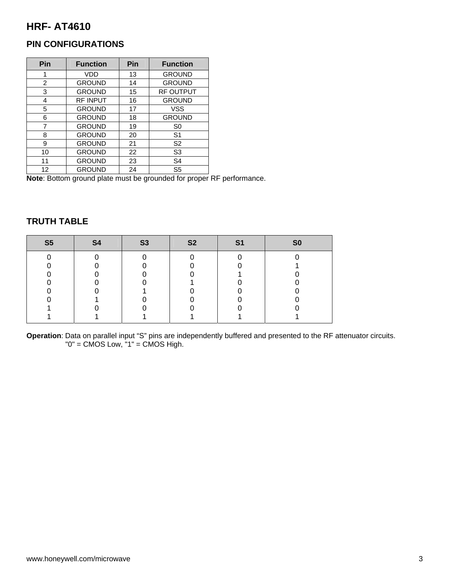# **HRF- AT4610**

### **PIN CONFIGURATIONS**

| Pin            | <b>Function</b> | Pin | <b>Function</b>  |
|----------------|-----------------|-----|------------------|
| 1              | VDD             | 13  | <b>GROUND</b>    |
| $\overline{2}$ | <b>GROUND</b>   | 14  | <b>GROUND</b>    |
| 3              | <b>GROUND</b>   | 15  | <b>RF OUTPUT</b> |
| 4              | <b>RF INPUT</b> | 16  | <b>GROUND</b>    |
| 5              | <b>GROUND</b>   | 17  | <b>VSS</b>       |
| 6              | <b>GROUND</b>   | 18  | <b>GROUND</b>    |
| 7              | <b>GROUND</b>   | 19  | S <sub>0</sub>   |
| 8              | <b>GROUND</b>   | 20  | S <sub>1</sub>   |
| 9              | <b>GROUND</b>   | 21  | S <sub>2</sub>   |
| 10             | <b>GROUND</b>   | 22  | S <sub>3</sub>   |
| 11             | <b>GROUND</b>   | 23  | S <sub>4</sub>   |
| 12             | <b>GROUND</b>   | 24  | S <sub>5</sub>   |

**Note**: Bottom ground plate must be grounded for proper RF performance.

# **TRUTH TABLE**

| S <sub>5</sub> | <b>S4</b> | <b>S3</b> | <b>S2</b> | S <sub>1</sub> | SO |
|----------------|-----------|-----------|-----------|----------------|----|
|                |           |           |           |                |    |
|                |           |           |           |                |    |
|                |           |           |           |                |    |
|                |           |           |           |                |    |
|                |           |           |           |                |    |
|                |           |           |           |                |    |
|                |           |           |           |                |    |
|                |           |           |           |                |    |

**Operation**: Data on parallel input "S" pins are independently buffered and presented to the RF attenuator circuits. "0" = CMOS Low, "1" = CMOS High.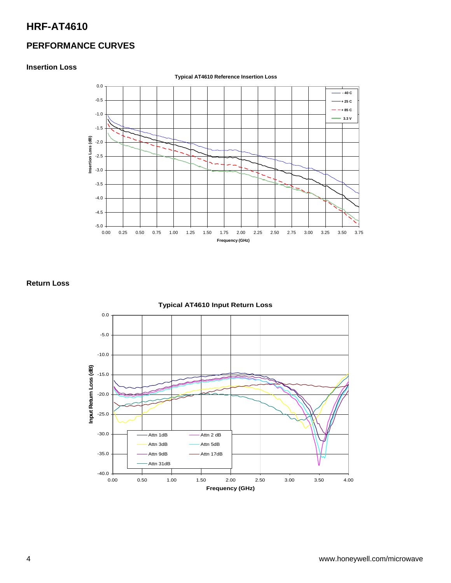# **HRF-AT4610**

### **PERFORMANCE CURVES**

#### **Insertion Loss**



**Return Loss** 

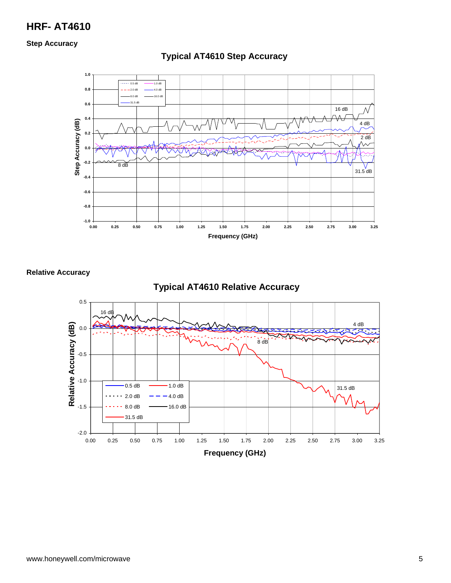# **HRF- AT4610**

**Step Accuracy** 



### **Typical AT4610 Step Accuracy**

**Relative Accuracy** 

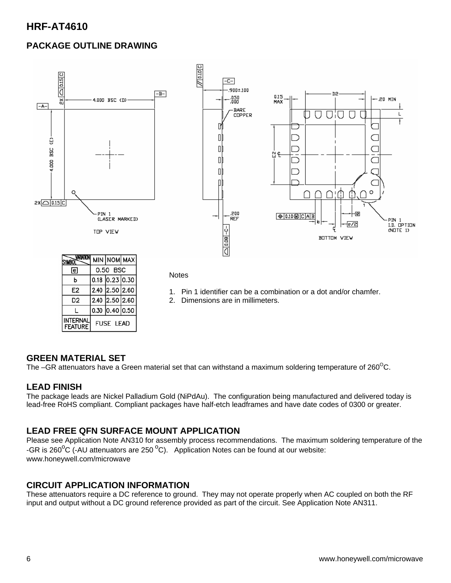# **HRF-AT4610**

### **PACKAGE OUTLINE DRAWING**



- 1. Pin 1 identifier can be a combination or a dot and/or chamfer.
- 2. Dimensions are in millimeters.

#### **GREEN MATERIAL SET**

E<sub>2</sub>

D<sub>2</sub>

 $\mathbf{I}$ **INTERNAL** 

**FEATURE** 

2.40 2.50 2.60

2.40 2.50 2.60  $0.30$  0.40 0.50

**FUSE LEAD** 

The –GR attenuators have a Green material set that can withstand a maximum soldering temperature of  $260^{\circ}$ C.

#### **LEAD FINISH**

The package leads are Nickel Palladium Gold (NiPdAu). The configuration being manufactured and delivered today is lead-free RoHS compliant. Compliant packages have half-etch leadframes and have date codes of 0300 or greater.

#### **LEAD FREE QFN SURFACE MOUNT APPLICATION**

Please see Application Note AN310 for assembly process recommendations. The maximum soldering temperature of the -GR is 260<sup>o</sup>C (-AU attenuators are 250<sup>o</sup>C). Application Notes can be found at our website: www.honeywell.com/microwave

#### **CIRCUIT APPLICATION INFORMATION**

These attenuators require a DC reference to ground. They may not operate properly when AC coupled on both the RF input and output without a DC ground reference provided as part of the circuit. See Application Note AN311.